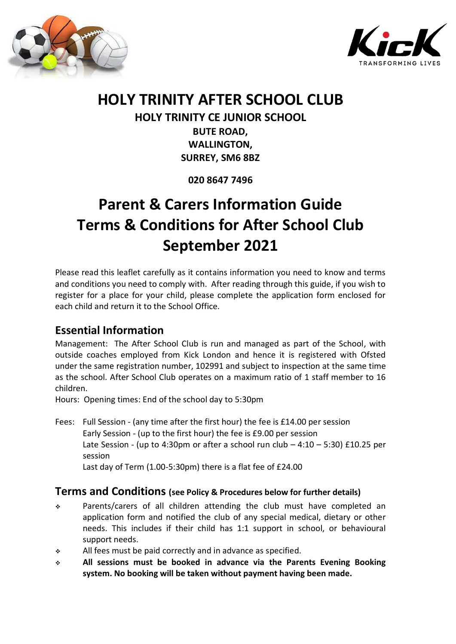



# **HOLY TRINITY AFTER SCHOOL CLUB**

**HOLY TRINITY CE JUNIOR SCHOOL BUTE ROAD, WALLINGTON, SURREY, SM6 8BZ**

**020 8647 7496**

# **Parent & Carers Information Guide Terms & Conditions for After School Club September 2021**

Please read this leaflet carefully as it contains information you need to know and terms and conditions you need to comply with. After reading through this guide, if you wish to register for a place for your child, please complete the application form enclosed for each child and return it to the School Office.

# **Essential Information**

Management: The After School Club is run and managed as part of the School, with outside coaches employed from Kick London and hence it is registered with Ofsted under the same registration number, 102991 and subject to inspection at the same time as the school. After School Club operates on a maximum ratio of 1 staff member to 16 children.

Hours: Opening times: End of the school day to 5:30pm

Fees: Full Session - (any time after the first hour) the fee is £14.00 per session Early Session - (up to the first hour) the fee is £9.00 per session Late Session - (up to 4:30pm or after a school run club  $-4:10-5:30$ ) £10.25 per session Last day of Term (1.00-5:30pm) there is a flat fee of £24.00

# **Terms and Conditions (see Policy & Procedures below for further details)**

- Parents/carers of all children attending the club must have completed an application form and notified the club of any special medical, dietary or other needs. This includes if their child has 1:1 support in school, or behavioural support needs.
- $\cdot$  All fees must be paid correctly and in advance as specified.
- **All sessions must be booked in advance via the Parents Evening Booking system. No booking will be taken without payment having been made.**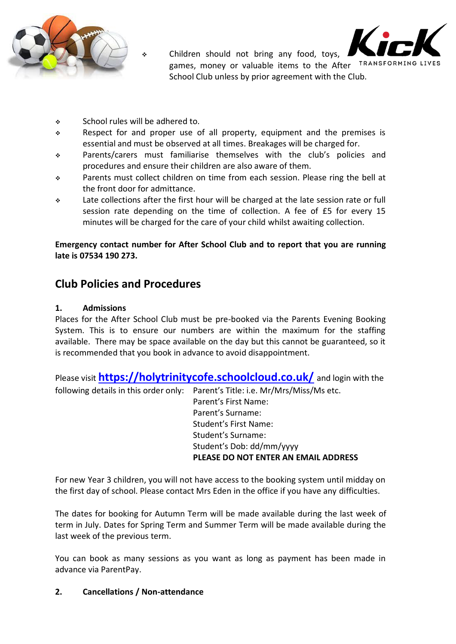



 Children should not bring any food, toys, games, money or valuable items to the After TRANSFORMING LIVES School Club unless by prior agreement with the Club.

- School rules will be adhered to.
- $\div$  Respect for and proper use of all property, equipment and the premises is essential and must be observed at all times. Breakages will be charged for.
- Parents/carers must familiarise themselves with the club's policies and procedures and ensure their children are also aware of them.
- Parents must collect children on time from each session. Please ring the bell at the front door for admittance.
- Late collections after the first hour will be charged at the late session rate or full session rate depending on the time of collection. A fee of £5 for every 15 minutes will be charged for the care of your child whilst awaiting collection.

#### **Emergency contact number for After School Club and to report that you are running late is 07534 190 273.**

# **Club Policies and Procedures**

#### **1. Admissions**

Places for the After School Club must be pre-booked via the Parents Evening Booking System. This is to ensure our numbers are within the maximum for the staffing available. There may be space available on the day but this cannot be guaranteed, so it is recommended that you book in advance to avoid disappointment.

Please visit **<https://holytrinitycofe.schoolcloud.co.uk/>** and login with the following details in this order only: Parent's Title: i.e. Mr/Mrs/Miss/Ms etc. Parent's First Name: Parent's Surname: Student's First Name: Student's Surname: Student's Dob: dd/mm/yyyy **PLEASE DO NOT ENTER AN EMAIL ADDRESS**

For new Year 3 children, you will not have access to the booking system until midday on the first day of school. Please contact Mrs Eden in the office if you have any difficulties.

The dates for booking for Autumn Term will be made available during the last week of term in July. Dates for Spring Term and Summer Term will be made available during the last week of the previous term.

You can book as many sessions as you want as long as payment has been made in advance via ParentPay.

#### **2. Cancellations / Non-attendance**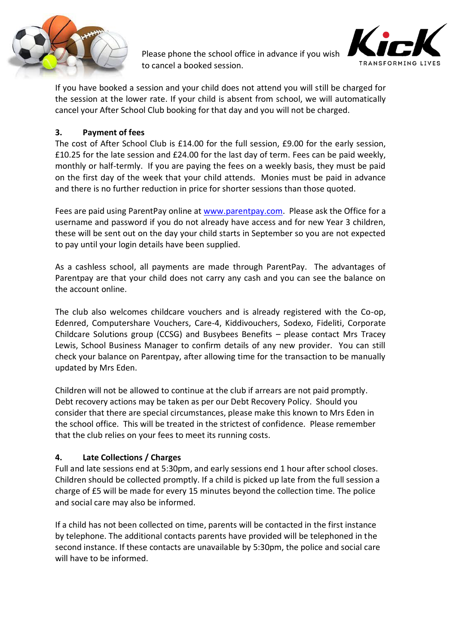

Please phone the school office in advance if you wish to cancel a booked session.



If you have booked a session and your child does not attend you will still be charged for the session at the lower rate. If your child is absent from school, we will automatically cancel your After School Club booking for that day and you will not be charged.

#### **3. Payment of fees**

The cost of After School Club is £14.00 for the full session, £9.00 for the early session, £10.25 for the late session and £24.00 for the last day of term. Fees can be paid weekly, monthly or half-termly. If you are paying the fees on a weekly basis, they must be paid on the first day of the week that your child attends. Monies must be paid in advance and there is no further reduction in price for shorter sessions than those quoted.

Fees are paid using ParentPay online at [www.parentpay.com.](http://www.parentpay.com/) Please ask the Office for a username and password if you do not already have access and for new Year 3 children, these will be sent out on the day your child starts in September so you are not expected to pay until your login details have been supplied.

As a cashless school, all payments are made through ParentPay. The advantages of Parentpay are that your child does not carry any cash and you can see the balance on the account online.

The club also welcomes childcare vouchers and is already registered with the Co-op, Edenred, Computershare Vouchers, Care-4, Kiddivouchers, Sodexo, Fideliti, Corporate Childcare Solutions group (CCSG) and Busybees Benefits – please contact Mrs Tracey Lewis, School Business Manager to confirm details of any new provider. You can still check your balance on Parentpay, after allowing time for the transaction to be manually updated by Mrs Eden.

Children will not be allowed to continue at the club if arrears are not paid promptly. Debt recovery actions may be taken as per our Debt Recovery Policy. Should you consider that there are special circumstances, please make this known to Mrs Eden in the school office. This will be treated in the strictest of confidence. Please remember that the club relies on your fees to meet its running costs.

#### **4. Late Collections / Charges**

Full and late sessions end at 5:30pm, and early sessions end 1 hour after school closes. Children should be collected promptly. If a child is picked up late from the full session a charge of £5 will be made for every 15 minutes beyond the collection time. The police and social care may also be informed.

If a child has not been collected on time, parents will be contacted in the first instance by telephone. The additional contacts parents have provided will be telephoned in the second instance. If these contacts are unavailable by 5:30pm, the police and social care will have to be informed.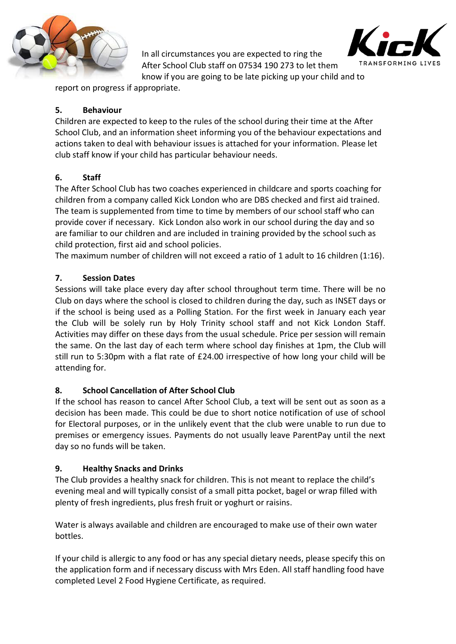

In all circumstances you are expected to ring the After School Club staff on 07534 190 273 to let them

know if you are going to be late picking up your child and to

report on progress if appropriate.

## **5. Behaviour**

Children are expected to keep to the rules of the school during their time at the After School Club, and an information sheet informing you of the behaviour expectations and actions taken to deal with behaviour issues is attached for your information. Please let club staff know if your child has particular behaviour needs.

# **6. Staff**

The After School Club has two coaches experienced in childcare and sports coaching for children from a company called Kick London who are DBS checked and first aid trained. The team is supplemented from time to time by members of our school staff who can provide cover if necessary. Kick London also work in our school during the day and so are familiar to our children and are included in training provided by the school such as child protection, first aid and school policies.

The maximum number of children will not exceed a ratio of 1 adult to 16 children (1:16).

## **7. Session Dates**

Sessions will take place every day after school throughout term time. There will be no Club on days where the school is closed to children during the day, such as INSET days or if the school is being used as a Polling Station. For the first week in January each year the Club will be solely run by Holy Trinity school staff and not Kick London Staff. Activities may differ on these days from the usual schedule. Price per session will remain the same. On the last day of each term where school day finishes at 1pm, the Club will still run to 5:30pm with a flat rate of £24.00 irrespective of how long your child will be attending for.

### **8. School Cancellation of After School Club**

If the school has reason to cancel After School Club, a text will be sent out as soon as a decision has been made. This could be due to short notice notification of use of school for Electoral purposes, or in the unlikely event that the club were unable to run due to premises or emergency issues. Payments do not usually leave ParentPay until the next day so no funds will be taken.

# **9. Healthy Snacks and Drinks**

The Club provides a healthy snack for children. This is not meant to replace the child's evening meal and will typically consist of a small pitta pocket, bagel or wrap filled with plenty of fresh ingredients, plus fresh fruit or yoghurt or raisins.

Water is always available and children are encouraged to make use of their own water bottles.

If your child is allergic to any food or has any special dietary needs, please specify this on the application form and if necessary discuss with Mrs Eden. All staff handling food have completed Level 2 Food Hygiene Certificate, as required.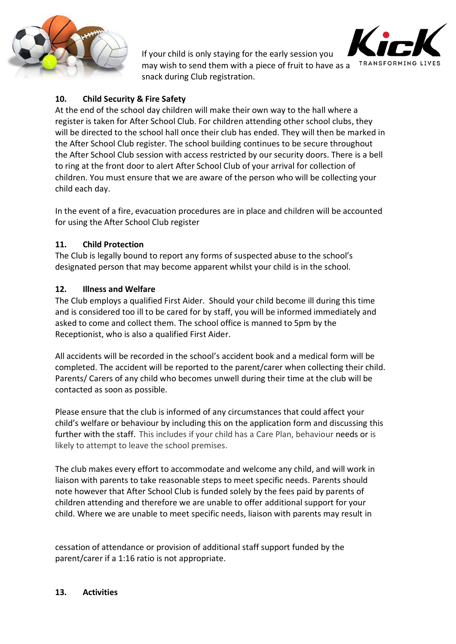

TRANSFORMING LIVI

If your child is only staying for the early session you may wish to send them with a piece of fruit to have as a snack during Club registration.

### **10. Child Security & Fire Safety**

At the end of the school day children will make their own way to the hall where a register is taken for After School Club. For children attending other school clubs, they will be directed to the school hall once their club has ended. They will then be marked in the After School Club register. The school building continues to be secure throughout the After School Club session with access restricted by our security doors. There is a bell to ring at the front door to alert After School Club of your arrival for collection of children. You must ensure that we are aware of the person who will be collecting your child each day.

In the event of a fire, evacuation procedures are in place and children will be accounted for using the After School Club register

#### **11. Child Protection**

The Club is legally bound to report any forms of suspected abuse to the school's designated person that may become apparent whilst your child is in the school.

#### **12. Illness and Welfare**

The Club employs a qualified First Aider. Should your child become ill during this time and is considered too ill to be cared for by staff, you will be informed immediately and asked to come and collect them. The school office is manned to 5pm by the Receptionist, who is also a qualified First Aider.

All accidents will be recorded in the school's accident book and a medical form will be completed. The accident will be reported to the parent/carer when collecting their child. Parents/ Carers of any child who becomes unwell during their time at the club will be contacted as soon as possible.

Please ensure that the club is informed of any circumstances that could affect your child's welfare or behaviour by including this on the application form and discussing this further with the staff. This includes if your child has a Care Plan, behaviour needs or is likely to attempt to leave the school premises.

The club makes every effort to accommodate and welcome any child, and will work in liaison with parents to take reasonable steps to meet specific needs. Parents should note however that After School Club is funded solely by the fees paid by parents of children attending and therefore we are unable to offer additional support for your child. Where we are unable to meet specific needs, liaison with parents may result in

cessation of attendance or provision of additional staff support funded by the parent/carer if a 1:16 ratio is not appropriate.

#### **13. Activities**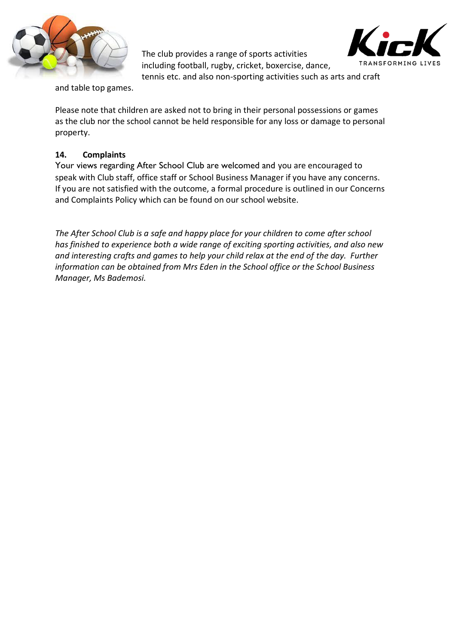

The club provides a range of sports activities including football, rugby, cricket, boxercise, dance, tennis etc. and also non-sporting activities such as arts and craft



and table top games.

Please note that children are asked not to bring in their personal possessions or games as the club nor the school cannot be held responsible for any loss or damage to personal property.

#### **14. Complaints**

Your views regarding After School Club are welcomed and you are encouraged to speak with Club staff, office staff or School Business Manager if you have any concerns. If you are not satisfied with the outcome, a formal procedure is outlined in our Concerns and Complaints Policy which can be found on our school website.

*The After School Club is a safe and happy place for your children to come after school has finished to experience both a wide range of exciting sporting activities, and also new and interesting crafts and games to help your child relax at the end of the day. Further information can be obtained from Mrs Eden in the School office or the School Business Manager, Ms Bademosi.*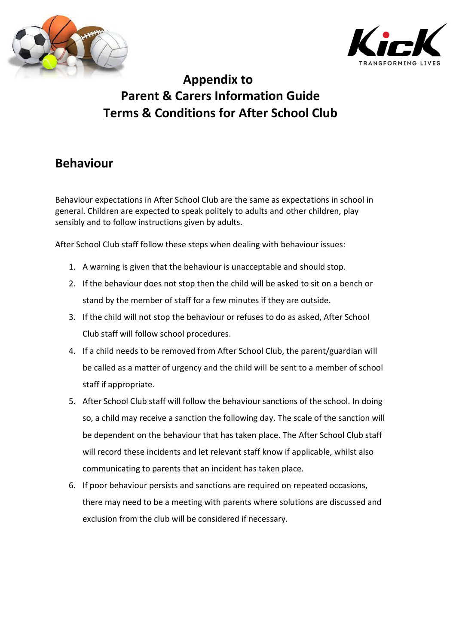



# **Appendix to Parent & Carers Information Guide Terms & Conditions for After School Club**

# **Behaviour**

Behaviour expectations in After School Club are the same as expectations in school in general. Children are expected to speak politely to adults and other children, play sensibly and to follow instructions given by adults.

After School Club staff follow these steps when dealing with behaviour issues:

- 1. A warning is given that the behaviour is unacceptable and should stop.
- 2. If the behaviour does not stop then the child will be asked to sit on a bench or stand by the member of staff for a few minutes if they are outside.
- 3. If the child will not stop the behaviour or refuses to do as asked, After School Club staff will follow school procedures.
- 4. If a child needs to be removed from After School Club, the parent/guardian will be called as a matter of urgency and the child will be sent to a member of school staff if appropriate.
- 5. After School Club staff will follow the behaviour sanctions of the school. In doing so, a child may receive a sanction the following day. The scale of the sanction will be dependent on the behaviour that has taken place. The After School Club staff will record these incidents and let relevant staff know if applicable, whilst also communicating to parents that an incident has taken place.
- 6. If poor behaviour persists and sanctions are required on repeated occasions, there may need to be a meeting with parents where solutions are discussed and exclusion from the club will be considered if necessary.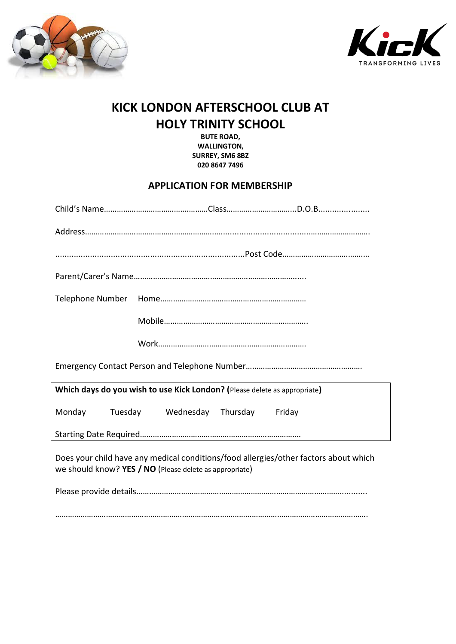



# **KICK LONDON AFTERSCHOOL CLUB AT HOLY TRINITY SCHOOL**

**BUTE ROAD, WALLINGTON, SURREY, SM6 8BZ 020 8647 7496**

### **APPLICATION FOR MEMBERSHIP**

| Which days do you wish to use Kick London? (Please delete as appropriate)                                                                       |                                   |  |  |  |
|-------------------------------------------------------------------------------------------------------------------------------------------------|-----------------------------------|--|--|--|
| Monday                                                                                                                                          | Tuesday Wednesday Thursday Friday |  |  |  |
|                                                                                                                                                 |                                   |  |  |  |
| Does your child have any medical conditions/food allergies/other factors about which<br>we should know? YES / NO (Please delete as appropriate) |                                   |  |  |  |
|                                                                                                                                                 |                                   |  |  |  |

………………………………………………………………………………………………………………………………….